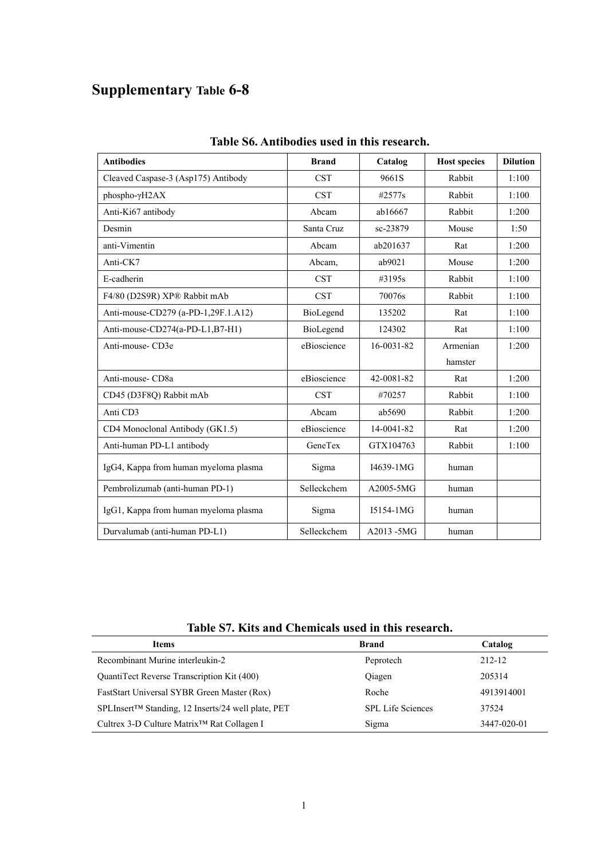## **Supplementary Table 6-8**

| <b>Antibodies</b>                     | <b>Brand</b> | Catalog       | <b>Host species</b> | <b>Dilution</b> |
|---------------------------------------|--------------|---------------|---------------------|-----------------|
| Cleaved Caspase-3 (Asp175) Antibody   | <b>CST</b>   | 9661S         | Rabbit              | 1:100           |
| phospho-yH2AX                         | <b>CST</b>   | #2577s        | Rabbit              | 1:100           |
| Anti-Ki67 antibody                    | Abcam        | ab16667       | Rabbit              | 1:200           |
| Desmin                                | Santa Cruz   | sc-23879      | Mouse               | 1:50            |
| anti-Vimentin                         | Abcam        | ab201637      | Rat                 | 1:200           |
| Anti-CK7                              | Abcam.       | ab9021        | Mouse               | 1:200           |
| E-cadherin                            | <b>CST</b>   | #3195s        | Rabbit              | 1:100           |
| F4/80 (D2S9R) XP® Rabbit mAb          | <b>CST</b>   | 70076s        | Rabbit              | 1:100           |
| Anti-mouse-CD279 (a-PD-1,29F.1.A12)   | BioLegend    | 135202        | Rat                 | 1:100           |
| Anti-mouse-CD274(a-PD-L1,B7-H1)       | BioLegend    | 124302        | Rat                 | 1:100           |
| Anti-mouse-CD3e                       | eBioscience  | 16-0031-82    | Armenian            | 1:200           |
|                                       |              |               | hamster             |                 |
| Anti-mouse-CD8a                       | eBioscience  | 42-0081-82    | Rat                 | 1:200           |
| CD45 (D3F8Q) Rabbit mAb               | <b>CST</b>   | #70257        | Rabbit              | 1:100           |
| Anti CD3                              | Abcam        | ab5690        | Rabbit              | 1:200           |
| CD4 Monoclonal Antibody (GK1.5)       | eBioscience  | 14-0041-82    | Rat                 | 1:200           |
| Anti-human PD-L1 antibody             | GeneTex      | GTX104763     | Rabbit              | 1:100           |
| IgG4, Kappa from human myeloma plasma | Sigma        | I4639-1MG     | human               |                 |
| Pembrolizumab (anti-human PD-1)       | Selleckchem  | A2005-5MG     | human               |                 |
| IgG1, Kappa from human myeloma plasma | Sigma        | I5154-1MG     | human               |                 |
| Durvalumab (anti-human PD-L1)         | Selleckchem  | $A2013 - 5MG$ | human               |                 |

## **Table S6. Antibodies used in this research.**

**Table S7. Kits and Chemicals used in this research.**

|                                                        | Tabit 97. Ixits and Chemicals used in this research. |             |  |
|--------------------------------------------------------|------------------------------------------------------|-------------|--|
| <b>Items</b>                                           | <b>Brand</b>                                         | Catalog     |  |
| Recombinant Murine interleukin-2                       | Peprotech                                            | 212-12      |  |
| QuantiTect Reverse Transcription Kit (400)             | Qiagen                                               | 205314      |  |
| FastStart Universal SYBR Green Master (Rox)            | Roche                                                | 4913914001  |  |
| SPLInsert™ Standing, 12 Inserts/24 well plate, PET     | <b>SPL Life Sciences</b>                             | 37524       |  |
| Cultrex 3-D Culture Matrix <sup>™</sup> Rat Collagen I | Sigma                                                | 3447-020-01 |  |